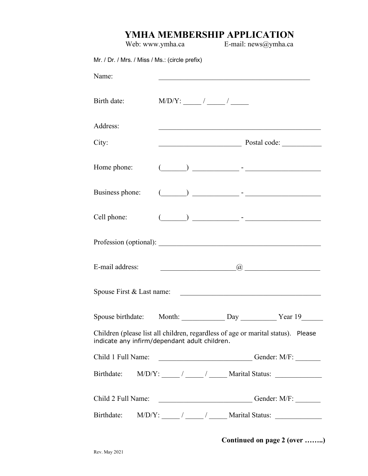## **YMHA MEMBERSHIP APPLICATION**

| Web: www.ymha.ca                                                                                                                  |                                         | E-mail: news@ymha.ca |                                       |  |
|-----------------------------------------------------------------------------------------------------------------------------------|-----------------------------------------|----------------------|---------------------------------------|--|
| Mr. / Dr. / Mrs. / Miss / Ms.: (circle prefix)                                                                                    |                                         |                      |                                       |  |
| Name:                                                                                                                             |                                         |                      |                                       |  |
| Birth date:                                                                                                                       |                                         |                      |                                       |  |
| Address:                                                                                                                          |                                         |                      |                                       |  |
| City:                                                                                                                             |                                         |                      |                                       |  |
| Home phone:                                                                                                                       |                                         |                      |                                       |  |
| Business phone:                                                                                                                   |                                         |                      |                                       |  |
| Cell phone:                                                                                                                       |                                         |                      |                                       |  |
|                                                                                                                                   |                                         |                      |                                       |  |
| E-mail address:                                                                                                                   | <u> 1990 - Johann Barbara, martin a</u> |                      | $\omega$ and the contract of $\omega$ |  |
| Spouse First & Last name:                                                                                                         |                                         |                      |                                       |  |
| Spouse birthdate: Month: Day Day Year 19                                                                                          |                                         |                      |                                       |  |
| Children (please list all children, regardless of age or marital status). Please<br>indicate any infirm/dependant adult children. |                                         |                      |                                       |  |
| Child 1 Full Name:                                                                                                                | Gender: M/F:                            |                      |                                       |  |
| Birthdate: $M/D/Y$ : $\frac{1}{\sqrt{2\pi}}$ $\frac{1}{\sqrt{2\pi}}$ Marital Status:                                              |                                         |                      |                                       |  |
| Child 2 Full Name: _____________________________Gender: M/F: ____________________                                                 |                                         |                      |                                       |  |
| Birthdate: $M/D/Y$ : $\frac{1}{\sqrt{2\pi}}$ / $\frac{1}{\sqrt{2\pi}}$ Marital Status:                                            |                                         |                      |                                       |  |

**Continued on page 2 (over ……..)**